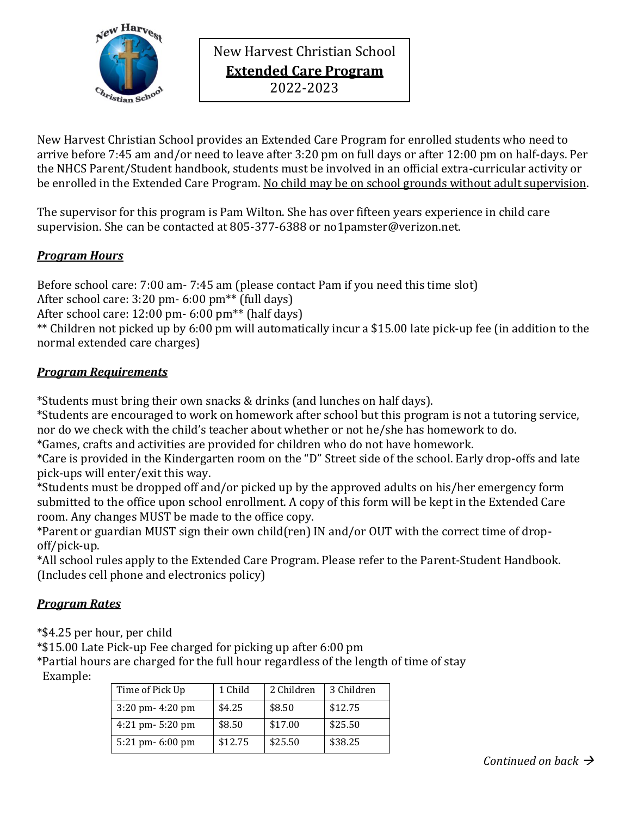

New Harvest Christian School **Extended Care Program** 2022-2023

New Harvest Christian School provides an Extended Care Program for enrolled students who need to arrive before 7:45 am and/or need to leave after 3:20 pm on full days or after 12:00 pm on half-days. Per the NHCS Parent/Student handbook, students must be involved in an official extra-curricular activity or be enrolled in the Extended Care Program. No child may be on school grounds without adult supervision.

The supervisor for this program is Pam Wilton. She has over fifteen years experience in child care supervision. She can be contacted at 805-377-6388 or no1pamster@verizon.net.

## *Program Hours*

Before school care: 7:00 am- 7:45 am (please contact Pam if you need this time slot)

After school care: 3:20 pm- 6:00 pm\*\* (full days)

After school care: 12:00 pm- 6:00 pm\*\* (half days)

\*\* Children not picked up by 6:00 pm will automatically incur a \$15.00 late pick-up fee (in addition to the normal extended care charges)

## *Program Requirements*

\*Students must bring their own snacks & drinks (and lunches on half days).

\*Students are encouraged to work on homework after school but this program is not a tutoring service, nor do we check with the child's teacher about whether or not he/she has homework to do.

\*Games, crafts and activities are provided for children who do not have homework.

\*Care is provided in the Kindergarten room on the "D" Street side of the school. Early drop-offs and late pick-ups will enter/exit this way.

\*Students must be dropped off and/or picked up by the approved adults on his/her emergency form submitted to the office upon school enrollment. A copy of this form will be kept in the Extended Care room. Any changes MUST be made to the office copy.

\*Parent or guardian MUST sign their own child(ren) IN and/or OUT with the correct time of dropoff/pick-up.

\*All school rules apply to the Extended Care Program. Please refer to the Parent-Student Handbook. (Includes cell phone and electronics policy)

# *Program Rates*

\*\$4.25 per hour, per child

\*\$15.00 Late Pick-up Fee charged for picking up after 6:00 pm

\*Partial hours are charged for the full hour regardless of the length of time of stay Example:

| Time of Pick Up      | 1 Child | 2 Children | 3 Children |
|----------------------|---------|------------|------------|
| $3:20$ pm- $4:20$ pm | \$4.25  | \$8.50     | \$12.75    |
| $4:21$ pm $-5:20$ pm | \$8.50  | \$17.00    | \$25.50    |
| 5:21 pm- 6:00 pm     | \$12.75 | \$25.50    | \$38.25    |